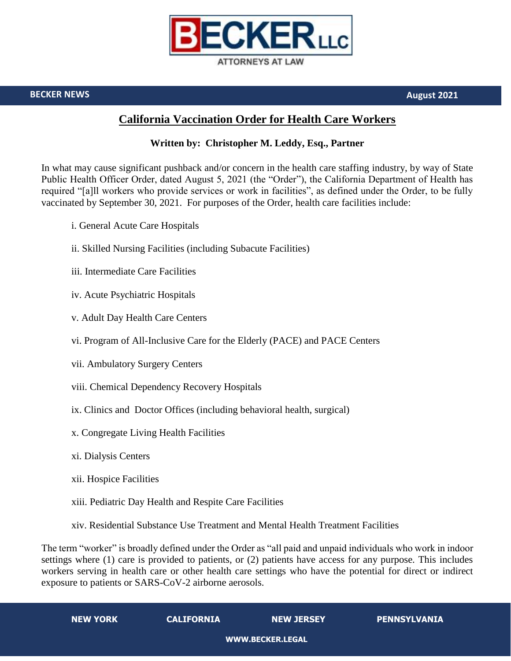

**BECKER NEWS August 2021**

## **California Vaccination Order for Health Care Workers**

## **Written by: Christopher M. Leddy, Esq., Partner**

In what may cause significant pushback and/or concern in the health care staffing industry, by way of State Public Health Officer Order, dated August 5, 2021 (the "Order"), the California Department of Health has required "[a]ll workers who provide services or work in facilities", as defined under the Order, to be fully vaccinated by September 30, 2021. For purposes of the Order, health care facilities include:

- i. General Acute Care Hospitals
- ii. Skilled Nursing Facilities (including Subacute Facilities)
- iii. Intermediate Care Facilities
- iv. Acute Psychiatric Hospitals
- v. Adult Day Health Care Centers
- vi. Program of All-Inclusive Care for the Elderly (PACE) and PACE Centers
- vii. Ambulatory Surgery Centers
- viii. Chemical Dependency Recovery Hospitals
- ix. Clinics and Doctor Offices (including behavioral health, surgical)
- x. Congregate Living Health Facilities
- xi. Dialysis Centers
- xii. Hospice Facilities
- xiii. Pediatric Day Health and Respite Care Facilities
- xiv. Residential Substance Use Treatment and Mental Health Treatment Facilities

The term "worker" is broadly defined under the Order as "all paid and unpaid individuals who work in indoor settings where (1) care is provided to patients, or (2) patients have access for any purpose. This includes workers serving in health care or other health care settings who have the potential for direct or indirect exposure to patients or SARS-CoV-2 airborne aerosols.

| <b>NEW YORK</b>  | <b>CALIFORNIA</b> | <b>NEW JERSEY</b> | PENNSYLVANIA |
|------------------|-------------------|-------------------|--------------|
| WWW.BECKER.LEGAL |                   |                   |              |